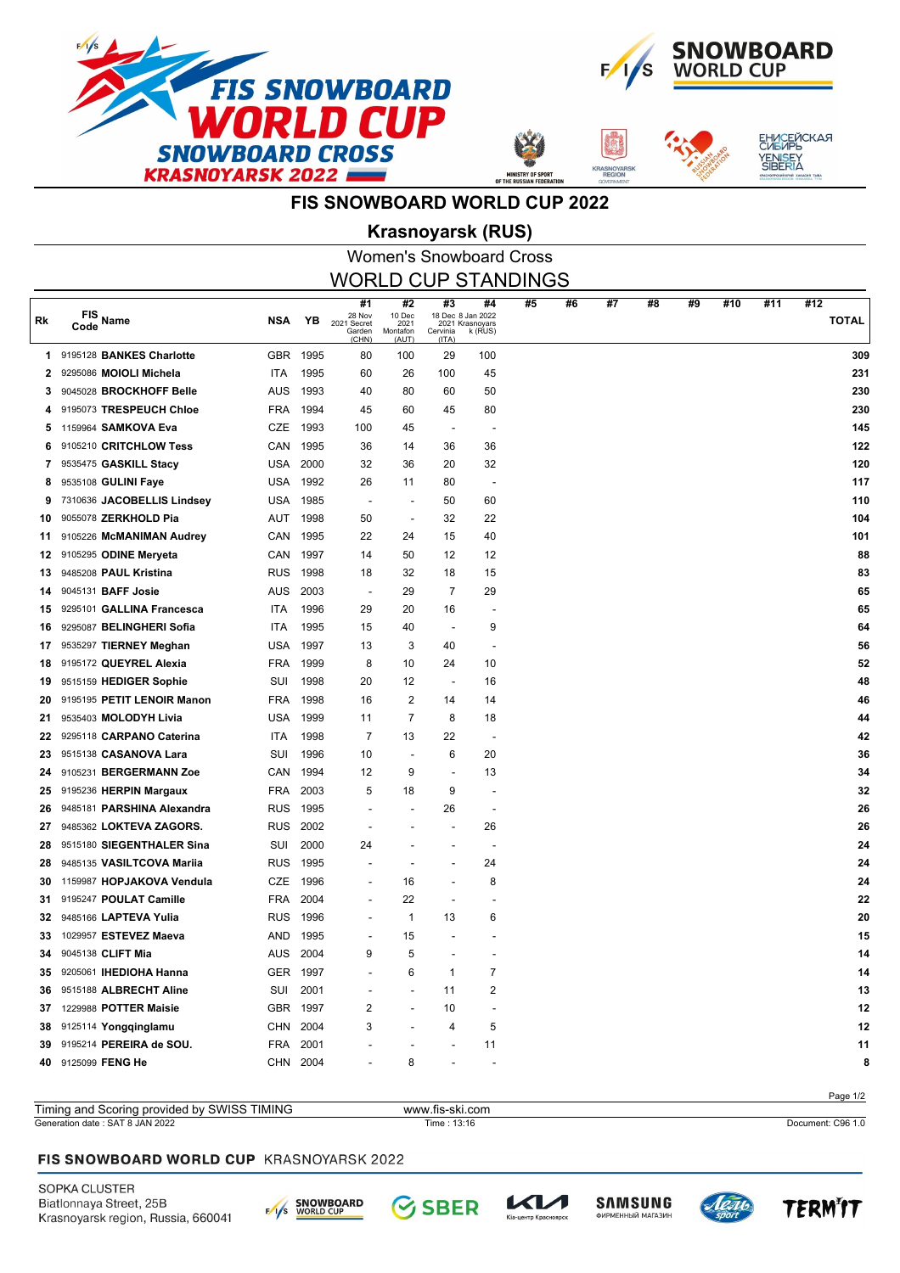



**SNOYA** 



## **FIS SNOWBOARD WORLD CUP 2022**

# Women's Snowboard Cross **Krasnoyarsk (RUS)**

| <b>WORLD CUP STANDINGS</b> |                               |            |          |                                                |                                           |                                              |                                  |    |    |    |    |    |     |     |                     |
|----------------------------|-------------------------------|------------|----------|------------------------------------------------|-------------------------------------------|----------------------------------------------|----------------------------------|----|----|----|----|----|-----|-----|---------------------|
| Rk                         | $FIS$ Name<br>Code            | <b>NSA</b> | YB       | #1<br>28 Nov<br>2021 Secret<br>Garden<br>(CHN) | #2<br>10 Dec<br>2021<br>Montafon<br>(AUT) | #3<br>18 Dec 8 Jan 2022<br>Cervinia<br>(ITA) | #4<br>2021 Krasnoyars<br>k (RUS) | #5 | #6 | #7 | #8 | #9 | #10 | #11 | #12<br><b>TOTAL</b> |
| 1.                         | 9195128 BANKES Charlotte      | <b>GBR</b> | 1995     | 80                                             | 100                                       | 29                                           | 100                              |    |    |    |    |    |     |     | 309                 |
| 2                          | 9295086 MOIOLI Michela        | <b>ITA</b> | 1995     | 60                                             | 26                                        | 100                                          | 45                               |    |    |    |    |    |     |     | 231                 |
| 3                          | 9045028 BROCKHOFF Belle       | AUS        | 1993     | 40                                             | 80                                        | 60                                           | 50                               |    |    |    |    |    |     |     | 230                 |
| 4                          | 9195073 TRESPEUCH Chloe       | <b>FRA</b> | 1994     | 45                                             | 60                                        | 45                                           | 80                               |    |    |    |    |    |     |     | 230                 |
| 5                          | 1159964 SAMKOVA Eva           | CZE        | 1993     | 100                                            | 45                                        | $\overline{\phantom{a}}$                     | $\overline{\phantom{a}}$         |    |    |    |    |    |     |     | 145                 |
| 6                          | 9105210 CRITCHLOW Tess        | CAN        | 1995     | 36                                             | 14                                        | 36                                           | 36                               |    |    |    |    |    |     |     | 122                 |
| 7                          | 9535475 GASKILL Stacy         | USA        | 2000     | 32                                             | 36                                        | 20                                           | 32                               |    |    |    |    |    |     |     | 120                 |
| 8                          | 9535108 GULINI Faye           | USA        | 1992     | 26                                             | 11                                        | 80                                           | $\overline{\phantom{a}}$         |    |    |    |    |    |     |     | 117                 |
| 9                          | 7310636 JACOBELLIS Lindsey    | USA        | 1985     | $\overline{\phantom{a}}$                       |                                           | 50                                           | 60                               |    |    |    |    |    |     |     | 110                 |
| 10                         | 9055078 ZERKHOLD Pia          | AUT        | 1998     | 50                                             | $\blacksquare$                            | 32                                           | 22                               |    |    |    |    |    |     |     | 104                 |
| 11                         | 9105226 McMANIMAN Audrey      | CAN        | 1995     | 22                                             | 24                                        | 15                                           | 40                               |    |    |    |    |    |     |     | 101                 |
| 12                         | 9105295 ODINE Meryeta         | CAN        | 1997     | 14                                             | 50                                        | 12                                           | 12                               |    |    |    |    |    |     |     | 88                  |
| 13                         | 9485208 PAUL Kristina         | <b>RUS</b> | 1998     | 18                                             | 32                                        | 18                                           | 15                               |    |    |    |    |    |     |     | 83                  |
| 14                         | 9045131 BAFF Josie            | AUS        | 2003     | $\overline{\phantom{a}}$                       | 29                                        | $\overline{7}$                               | 29                               |    |    |    |    |    |     |     | 65                  |
| 15                         | 9295101 GALLINA Francesca     | ITA        | 1996     | 29                                             | 20                                        | 16                                           | $\overline{\phantom{a}}$         |    |    |    |    |    |     |     | 65                  |
| 16                         | 9295087 BELINGHERI Sofia      | ITA        | 1995     | 15                                             | 40                                        | $\overline{\phantom{a}}$                     | 9                                |    |    |    |    |    |     |     | 64                  |
| 17                         | 9535297 TIERNEY Meghan        | <b>USA</b> | 1997     | 13                                             | 3                                         | 40                                           | $\overline{\phantom{a}}$         |    |    |    |    |    |     |     | 56                  |
| 18                         | 9195172 QUEYREL Alexia        | <b>FRA</b> | 1999     | 8                                              | 10                                        | 24                                           | 10                               |    |    |    |    |    |     |     | 52                  |
| 19                         | 9515159 HEDIGER Sophie        | SUI        | 1998     | 20                                             | 12                                        | $\overline{\phantom{a}}$                     | 16                               |    |    |    |    |    |     |     | 48                  |
| 20                         | 9195195 PETIT LENOIR Manon    | <b>FRA</b> | 1998     | 16                                             | $\overline{2}$                            | 14                                           | 14                               |    |    |    |    |    |     |     | 46                  |
| 21                         | 9535403 MOLODYH Livia         | <b>USA</b> | 1999     | 11                                             | 7                                         | 8                                            | 18                               |    |    |    |    |    |     |     | 44                  |
| 22                         | 9295118 CARPANO Caterina      | ITA        | 1998     | $\overline{7}$                                 | 13                                        | 22                                           | $\overline{\phantom{a}}$         |    |    |    |    |    |     |     | 42                  |
| 23                         | 9515138 CASANOVA Lara         | SUI        | 1996     | 10                                             | $\blacksquare$                            | 6                                            | 20                               |    |    |    |    |    |     |     | 36                  |
| 24                         | 9105231 BERGERMANN Zoe        | CAN        | 1994     | 12                                             | 9                                         | $\overline{\phantom{a}}$                     | 13                               |    |    |    |    |    |     |     | 34                  |
| 25                         | 9195236 HERPIN Margaux        | <b>FRA</b> | 2003     | 5                                              | 18                                        | 9                                            |                                  |    |    |    |    |    |     |     | 32                  |
| 26                         | 9485181 PARSHINA Alexandra    | <b>RUS</b> | 1995     |                                                |                                           | 26                                           | $\overline{\phantom{a}}$         |    |    |    |    |    |     |     | 26                  |
| 27                         | 9485362 LOKTEVA ZAGORS.       | <b>RUS</b> | 2002     |                                                |                                           | $\overline{a}$                               | 26                               |    |    |    |    |    |     |     | 26                  |
| 28                         | 9515180 SIEGENTHALER Sina     | SUI        | 2000     | 24                                             |                                           |                                              | $\overline{\phantom{a}}$         |    |    |    |    |    |     |     | 24                  |
| 28                         | 9485135 VASILTCOVA Mariia     | <b>RUS</b> | 1995     |                                                |                                           |                                              | 24                               |    |    |    |    |    |     |     | 24                  |
| 30                         | 1159987 HOPJAKOVA Vendula     | CZE        | 1996     |                                                | 16                                        |                                              | 8                                |    |    |    |    |    |     |     | 24                  |
| 31                         | 9195247 POULAT Camille        | <b>FRA</b> | 2004     |                                                | 22                                        |                                              |                                  |    |    |    |    |    |     |     | 22                  |
| 32                         | 9485166 LAPTEVA Yulia         | <b>RUS</b> | 1996     |                                                | $\mathbf{1}$                              | 13                                           | 6                                |    |    |    |    |    |     |     | 20                  |
| 33                         | 1029957 ESTEVEZ Maeva         | AND        | 1995     |                                                | 15                                        |                                              |                                  |    |    |    |    |    |     |     | 15                  |
| 34                         | 9045138 CLIFT Mia             |            | AUS 2004 | 9                                              | 5                                         |                                              |                                  |    |    |    |    |    |     |     | 14                  |
| 35                         | 9205061 <b>IHEDIOHA Hanna</b> |            | GER 1997 |                                                | 6                                         | 1                                            | 7                                |    |    |    |    |    |     |     | 14                  |
| 36                         | 9515188 ALBRECHT Aline        | SUI        | 2001     |                                                |                                           | 11                                           | 2                                |    |    |    |    |    |     |     | 13                  |
| 37                         | 1229988 POTTER Maisie         | <b>GBR</b> | 1997     | 2                                              |                                           | 10                                           |                                  |    |    |    |    |    |     |     | 12                  |
| 38                         | 9125114 Yongqinglamu          | CHN        | 2004     | 3                                              |                                           | 4                                            | 5                                |    |    |    |    |    |     |     | 12                  |
| 39                         | 9195214 PEREIRA de SOU.       | FRA        | 2001     |                                                |                                           |                                              | 11                               |    |    |    |    |    |     |     | 11                  |
| 40                         | 9125099 FENG He               |            | CHN 2004 |                                                | 8                                         |                                              |                                  |    |    |    |    |    |     |     | 8                   |
|                            |                               |            |          |                                                |                                           |                                              |                                  |    |    |    |    |    |     |     |                     |

#### Page 1/2 Generation date : SAT 8 JAN 2022 Time : 13:16 Document: C96 1.0 Timing and Scoring provided by SWISS TIMING www.fis-ski.com

#### FIS SNOWBOARD WORLD CUP KRASNOYARSK 2022

SOPKA CLUSTER Biatlonnaya Street, 25B Krasnoyarsk region, Russia, 660041





.<br>тр Красн